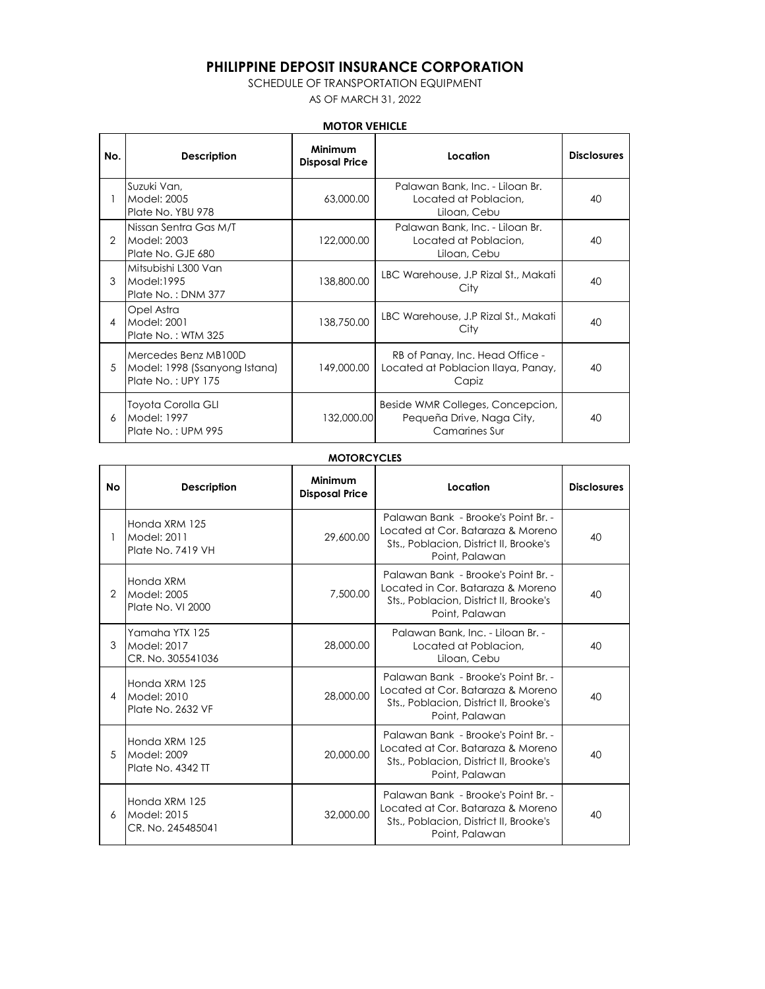# **PHILIPPINE DEPOSIT INSURANCE CORPORATION**

### SCHEDULE OF TRANSPORTATION EQUIPMENT

AS OF MARCH 31, 2022

### **MOTOR VEHICLE**

| No.           | <b>Description</b>                                                          | Minimum<br><b>Disposal Price</b> | Location                                                                       | <b>Disclosures</b> |
|---------------|-----------------------------------------------------------------------------|----------------------------------|--------------------------------------------------------------------------------|--------------------|
|               | Suzuki Van.<br>Model: 2005<br>Plate No. YBU 978                             | 63,000.00                        | Palawan Bank, Inc. - Liloan Br.<br>Located at Poblacion.<br>Liloan, Cebu       | 40                 |
| $\mathcal{P}$ | Nissan Sentra Gas M/T<br>Model: 2003<br>Plate No. GJE 680                   | 122,000.00                       | Palawan Bank, Inc. - Liloan Br.<br>Located at Poblacion.<br>Liloan, Cebu       | 40                 |
| 3             | Mitsubishi L300 Van<br>Model:1995<br>Plate No.: DNM 377                     | 138,800.00                       | LBC Warehouse, J.P Rizal St., Makati<br>City                                   | 40                 |
| 4             | Opel Astra<br>Model: 2001<br>Plate No.: WTM 325                             | 138,750.00                       | LBC Warehouse, J.P Rizal St., Makati<br>City                                   | 40                 |
| 5             | Mercedes Benz MB100D<br>Model: 1998 (Ssanyong Istana)<br>Plate No.: UPY 175 | 149,000.00                       | RB of Panay, Inc. Head Office -<br>Located at Poblacion Ilaya, Panay,<br>Capiz | 40                 |
| 6             | Toyota Corolla GLI<br>Model: 1997<br>Plate No.: UPM 995                     | 132,000.00                       | Beside WMR Colleges, Concepcion,<br>Pequeña Drive, Naga City,<br>Camarines Sur | 40                 |

#### **MOTORCYCLES**

| Nο | <b>Description</b>                                 | Minimum<br><b>Disposal Price</b> | Location                                                                                                                             | <b>Disclosures</b> |
|----|----------------------------------------------------|----------------------------------|--------------------------------------------------------------------------------------------------------------------------------------|--------------------|
|    | Honda XRM 125<br>Model: 2011<br>Plate No. 7419 VH  | 29,600.00                        | Palawan Bank - Brooke's Point Br. -<br>Located at Cor. Bataraza & Moreno<br>Sts., Poblacion, District II, Brooke's<br>Point, Palawan | 40                 |
| 2  | Honda XRM<br>Model: 2005<br>Plate No. VI 2000      | 7.500.00                         | Palawan Bank - Brooke's Point Br. -<br>Located in Cor. Bataraza & Moreno<br>Sts., Poblacion, District II, Brooke's<br>Point, Palawan | 40                 |
| 3  | Yamaha YTX 125<br>Model: 2017<br>CR. No. 305541036 | 28,000.00                        | Palawan Bank, Inc. - Liloan Br. -<br>Located at Poblacion.<br>Liloan, Cebu                                                           | 40                 |
| 4  | Honda XRM 125<br>Model: 2010<br>Plate No. 2632 VF  | 28.000.00                        | Palawan Bank - Brooke's Point Br. -<br>Located at Cor. Bataraza & Moreno<br>Sts., Poblacion, District II, Brooke's<br>Point, Palawan | 40                 |
| .5 | Honda XRM 125<br>Model: 2009<br>Plate No. 4342 TT  | 20,000,00                        | Palawan Bank - Brooke's Point Br. -<br>Located at Cor. Bataraza & Moreno<br>Sts., Poblacion, District II, Brooke's<br>Point, Palawan | 40                 |
| 6  | Honda XRM 125<br>Model: 2015<br>CR. No. 245485041  | 32,000.00                        | Palawan Bank - Brooke's Point Br. -<br>Located at Cor. Bataraza & Moreno<br>Sts., Poblacion, District II, Brooke's<br>Point, Palawan | 40                 |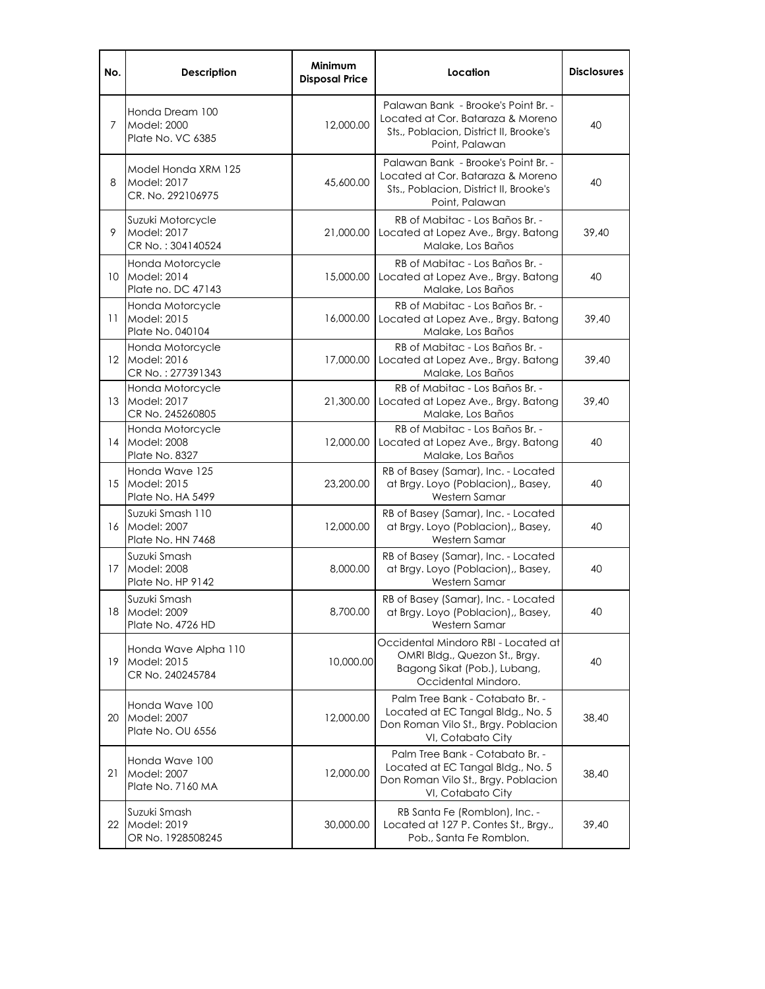| No.               | <b>Description</b>                                      | <b>Minimum</b><br><b>Disposal Price</b> | Location                                                                                                                             | <b>Disclosures</b> |
|-------------------|---------------------------------------------------------|-----------------------------------------|--------------------------------------------------------------------------------------------------------------------------------------|--------------------|
| 7                 | Honda Dream 100<br>Model: 2000<br>Plate No. VC 6385     | 12,000.00                               | Palawan Bank - Brooke's Point Br. -<br>Located at Cor. Bataraza & Moreno<br>Sts., Poblacion, District II, Brooke's<br>Point, Palawan | 40                 |
| 8                 | Model Honda XRM 125<br>Model: 2017<br>CR. No. 292106975 | 45,600.00                               | Palawan Bank - Brooke's Point Br. -<br>Located at Cor. Bataraza & Moreno<br>Sts., Poblacion, District II, Brooke's<br>Point, Palawan | 40                 |
| 9                 | Suzuki Motorcycle<br>Model: 2017<br>CR No.: 304140524   | 21,000.00                               | RB of Mabitac - Los Baños Br. -<br>Located at Lopez Ave., Brgy. Batong<br>Malake, Los Baños                                          | 39,40              |
| 10                | Honda Motorcycle<br>Model: 2014<br>Plate no. DC 47143   | 15,000.00                               | RB of Mabitac - Los Baños Br. -<br>Located at Lopez Ave., Brgy. Batong<br>Malake, Los Baños                                          | 40                 |
| 11                | Honda Motorcycle<br>Model: 2015<br>Plate No. 040104     | 16,000.00                               | RB of Mabitac - Los Baños Br. -<br>Located at Lopez Ave., Brgy. Batong<br>Malake, Los Baños                                          | 39,40              |
| $12 \overline{ }$ | Honda Motorcycle<br>Model: 2016<br>CR No.: 277391343    | 17,000.00                               | RB of Mabitac - Los Baños Br. -<br>Located at Lopez Ave., Brgy. Batong<br>Malake, Los Baños                                          | 39,40              |
| 13                | Honda Motorcycle<br>Model: 2017<br>CR No. 245260805     | 21,300.00                               | RB of Mabitac - Los Baños Br. -<br>Located at Lopez Ave., Brgy. Batong<br>Malake, Los Baños                                          | 39,40              |
| 14                | Honda Motorcycle<br>Model: 2008<br>Plate No. 8327       | 12,000.00                               | RB of Mabitac - Los Baños Br. -<br>Located at Lopez Ave., Brgy. Batong<br>Malake, Los Baños                                          | 40                 |
| 15                | Honda Wave 125<br>Model: 2015<br>Plate No. HA 5499      | 23,200.00                               | RB of Basey (Samar), Inc. - Located<br>at Brgy. Loyo (Poblacion),, Basey,<br>Western Samar                                           | 40                 |
| 16                | Suzuki Smash 110<br>Model: 2007<br>Plate No. HN 7468    | 12,000.00                               | RB of Basey (Samar), Inc. - Located<br>at Brgy. Loyo (Poblacion),, Basey,<br>Western Samar                                           | 40                 |
| 17                | Suzuki Smash<br>Model: 2008<br>Plate No. HP 9142        | 8,000.00                                | RB of Basey (Samar), Inc. - Located<br>at Brgy. Loyo (Poblacion),, Basey,<br>Western Samar                                           | 40                 |
| 18.               | Suzuki Smash<br>Model: 2009<br>Plate No. 4726 HD        | 8,700.00                                | RB of Basey (Samar), Inc. - Located<br>at Brgy. Loyo (Poblacion),, Basey,<br>Western Samar                                           | 40                 |
| 19                | Honda Wave Alpha 110<br>Model: 2015<br>CR No. 240245784 | 10,000.00                               | Occidental Mindoro RBI - Located at<br>OMRI Bldg., Quezon St., Brgy.<br>Bagong Sikat (Pob.), Lubang,<br>Occidental Mindoro.          | 40                 |
| 20                | Honda Wave 100<br>Model: 2007<br>Plate No. OU 6556      | 12,000.00                               | Palm Tree Bank - Cotabato Br. -<br>Located at EC Tangal Bldg., No. 5<br>Don Roman Vilo St., Brgy. Poblacion<br>VI, Cotabato City     | 38,40              |
| 21                | Honda Wave 100<br>Model: 2007<br>Plate No. 7160 MA      | 12,000.00                               | Palm Tree Bank - Cotabato Br. -<br>Located at EC Tangal Bldg., No. 5<br>Don Roman Vilo St., Brgy. Poblacion<br>VI, Cotabato City     | 38,40              |
| 22                | Suzuki Smash<br>Model: 2019<br>OR No. 1928508245        | 30,000.00                               | RB Santa Fe (Romblon), Inc. -<br>Located at 127 P. Contes St., Brgy.,<br>Pob., Santa Fe Romblon.                                     | 39,40              |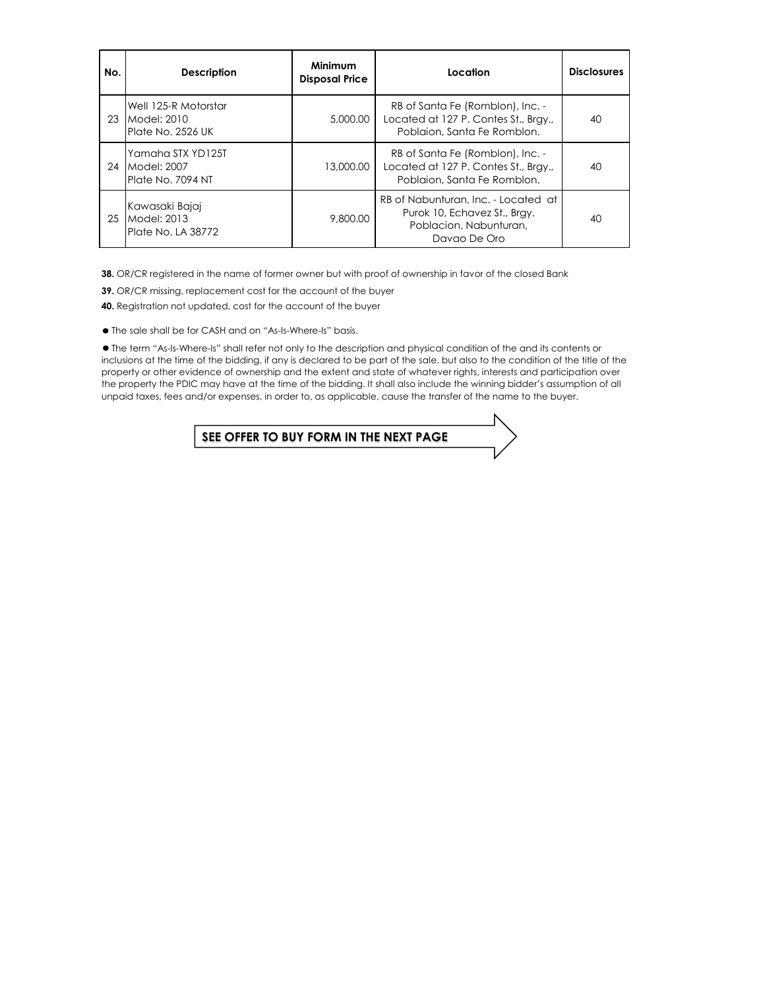| No. | <b>Description</b>                                       | Minimum<br><b>Disposal Price</b> | Location                                                                                                      | <b>Disclosures</b> |
|-----|----------------------------------------------------------|----------------------------------|---------------------------------------------------------------------------------------------------------------|--------------------|
| 23  | Well 125-R Motorstar<br>Model: 2010<br>Plate No. 2526 UK | 5,000,00                         | RB of Santa Fe (Romblon), Inc. -<br>Located at 127 P. Contes St., Bray.,<br>Poblaion, Santa Fe Romblon.       | 40                 |
| 24  | Yamaha STX YD125T<br>Model: 2007<br>Plate No. 7094 NT    | 13,000.00                        | RB of Santa Fe (Romblon), Inc. -<br>Located at 127 P. Contes St., Brgy.,<br>Poblaion, Santa Fe Romblon.       | 40                 |
| 25  | Kawasaki Bajaj<br>Model: 2013<br>Plate No. LA 38772      | 9,800.00                         | RB of Nabunturan, Inc. - Located at<br>Purok 10, Echavez St., Bray.<br>Poblacion, Nabunturan,<br>Davao De Oro |                    |

**38.** OR/CR registered in the name of former owner but with proof of ownership in favor of the closed Bank

**39.** OR/CR missing, replacement cost for the account of the buyer

**40.** Registration not updated, cost for the account of the buyer

The sale shall be for CASH and on "As-Is-Where-Is" basis.

 The term "As-Is-Where-Is" shall refer not only to the description and physical condition of the and its contents or inclusions at the time of the bidding, if any is declared to be part of the sale, but also to the condition of the title of the property or other evidence of ownership and the extent and state of whatever rights, interests and participation over the property the PDIC may have at the time of the bidding. It shall also include the winning bidder's assumption of all unpaid taxes, fees and/or expenses, in order to, as applicable, cause the transfer of the name to the buyer.

**SEE OFFER TO BUY FORM IN THE NEXT PAGE**